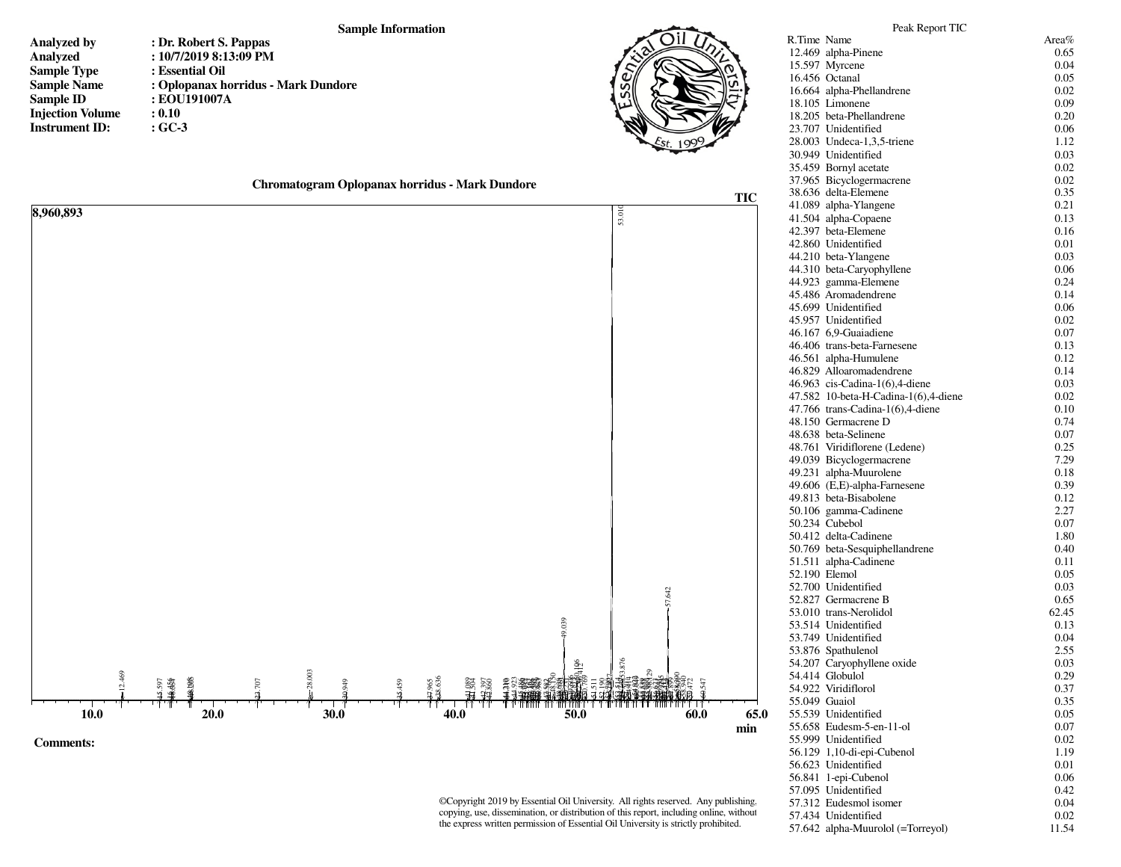## **Sample Information**

- **Analyzed byAnalyzedSample TypeSample NameSample IDInjection VolumeInstrument ID:**
- **: Dr. Robert S. Pappas : 10/7/2019 8:13:09 PM : Essential Oil : Oplopanax horridus - Mark Dundore : EOU191007A : 0.10: GC-3**



| Chromatogram Oplopanax horridus - Mark Dundore |  |
|------------------------------------------------|--|
|                                                |  |



©Copyright 2019 by Essential Oil University. All rights reserved. Any publishing, copying, use, dissemination, or distribution of this report, including online, without the express written permission of Essential Oil University is strictly prohibited.

| R.Time Name |                                                      | Area%        |
|-------------|------------------------------------------------------|--------------|
|             | 12.469 alpha-Pinene                                  | 0.65         |
|             | 15.597 Myrcene                                       | 0.04         |
|             | 16.456 Octanal                                       | 0.05         |
|             | 16.664 alpha-Phellandrene                            | 0.02         |
|             | 18.105 Limonene                                      | 0.09         |
|             | 18.205 beta-Phellandrene                             | 0.20         |
|             | 23.707 Unidentified                                  | 0.06         |
|             | 28.003 Undeca-1,3,5-triene                           | 1.12         |
|             | 30.949 Unidentified                                  | 0.03         |
|             | 35.459 Bornyl acetate                                | 0.02         |
|             | 37.965 Bicyclogermacrene                             | 0.02         |
|             | 38.636 delta-Elemene                                 | 0.35         |
|             | 41.089 alpha-Ylangene                                | 0.21         |
|             | 41.504 alpha-Copaene                                 | 0.13         |
|             | 42.397 beta-Elemene                                  | 0.16         |
|             | 42.860 Unidentified                                  | 0.01         |
|             | 44.210 beta-Ylangene                                 | 0.03         |
|             | 44.310 beta-Caryophyllene                            | 0.06         |
|             | 44.923 gamma-Elemene                                 | 0.24         |
|             | 45.486 Aromadendrene                                 | 0.14         |
|             | 45.699 Unidentified                                  | 0.06         |
|             | 45.957 Unidentified                                  | 0.02         |
|             |                                                      | 0.07         |
|             | 46.167 6,9-Guaiadiene<br>46.406 trans-beta-Farnesene |              |
|             |                                                      | 0.13         |
|             | 46.561 alpha-Humulene                                | 0.12         |
|             | 46.829 Alloaromadendrene                             | 0.14         |
|             | 46.963 cis-Cadina-1(6),4-diene                       | 0.03         |
|             | 47.582 10-beta-H-Cadina-1(6),4-diene                 | 0.02         |
|             | 47.766 trans-Cadina-1(6),4-diene                     | 0.10         |
|             | 48.150 Germacrene D                                  | 0.74         |
|             | 48.638 beta-Selinene                                 | 0.07         |
|             | 48.761 Viridiflorene (Ledene)                        | 0.25<br>7.29 |
|             | 49.039 Bicyclogermacrene<br>49.231 alpha-Muurolene   | 0.18         |
|             | 49.606 (E,E)-alpha-Farnesene                         | 0.39         |
|             | 49.813 beta-Bisabolene                               | 0.12         |
|             | 50.106 gamma-Cadinene                                | 2.27         |
|             | 50.234 Cubebol                                       | 0.07         |
|             | 50.412 delta-Cadinene                                | 1.80         |
|             | 50.769 beta-Sesquiphellandrene                       | 0.40         |
|             | 51.511 alpha-Cadinene                                |              |
|             |                                                      | 0.11         |
|             | 52.190 Elemol<br>52.700 Unidentified                 | 0.05         |
|             | 52.827 Germacrene B                                  | 0.03         |
|             | 53.010 trans-Nerolidol                               | 0.65         |
|             | 53.514 Unidentified                                  | 62.45        |
|             | 53.749 Unidentified                                  | 0.13         |
|             |                                                      | 0.04         |
|             | 53.876 Spathulenol                                   | 2.55         |
|             | 54.207 Caryophyllene oxide                           | 0.03         |
|             | 54.414 Globulol                                      | 0.29         |
|             | 54.922 Viridiflorol                                  | 0.37         |
|             | 55.049 Guaiol                                        | 0.35         |
|             | 55.539 Unidentified                                  | 0.05         |
|             | 55.658 Eudesm-5-en-11-ol                             | 0.07         |
|             | 55.999 Unidentified                                  | 0.02         |
|             | 56.129 1,10-di-epi-Cubenol                           | 1.19         |
|             | 56.623 Unidentified                                  | 0.01         |
|             | 56.841 1-epi-Cubenol                                 | 0.06         |
|             | 57.095 Unidentified                                  | 0.42         |
|             | 57.312 Eudesmol isomer                               | 0.04         |
|             | 57.434 Unidentified                                  | 0.02         |
|             | 57.642 alpha-Muurolol (=Torreyol)                    | 11.54        |

Peak Report TIC